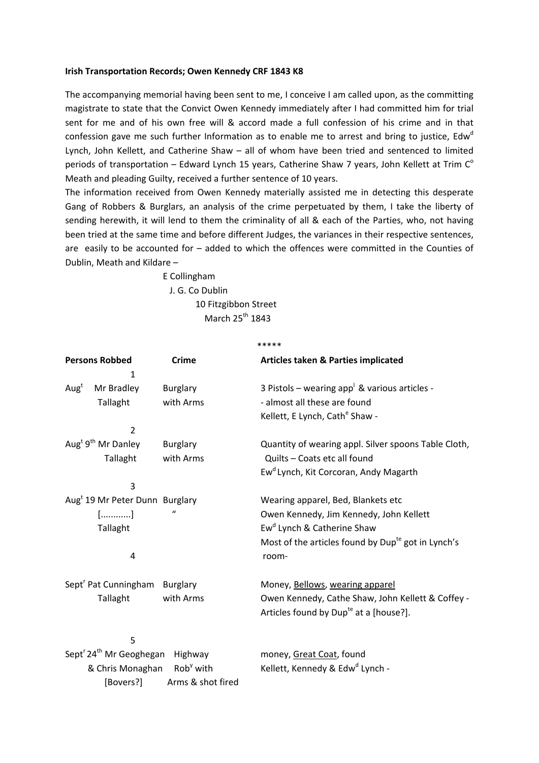## **Irish Transportation Records; Owen Kennedy CRF 1843 K8**

The accompanying memorial having been sent to me, I conceive I am called upon, as the committing magistrate to state that the Convict Owen Kennedy immediately after I had committed him for trial sent for me and of his own free will & accord made a full confession of his crime and in that confession gave me such further Information as to enable me to arrest and bring to justice, Edw<sup>d</sup> Lynch, John Kellett, and Catherine Shaw – all of whom have been tried and sentenced to limited periods of transportation – Edward Lynch 15 years, Catherine Shaw 7 years, John Kellett at Trim  $C^{\circ}$ Meath and pleading Guilty, received a further sentence of 10 years.

The information received from Owen Kennedy materially assisted me in detecting this desperate Gang of Robbers & Burglars, an analysis of the crime perpetuated by them, I take the liberty of sending herewith, it will lend to them the criminality of all & each of the Parties, who, not having been tried at the same time and before different Judges, the variances in their respective sentences, are easily to be accounted for – added to which the offences were committed in the Counties of Dublin, Meath and Kildare –

> E Collingham J. G. Co Dublin 10 Fitzgibbon Street March  $25^{th}$  1843

|                                                 |                   | *****                                                          |
|-------------------------------------------------|-------------------|----------------------------------------------------------------|
| <b>Persons Robbed</b>                           | <b>Crime</b>      | <b>Articles taken &amp; Parties implicated</b>                 |
| 1                                               |                   |                                                                |
| Aug <sup>t</sup><br>Mr Bradley                  | <b>Burglary</b>   | 3 Pistols – wearing app <sup>1</sup> & various articles -      |
| Tallaght                                        | with Arms         | - almost all these are found                                   |
|                                                 |                   | Kellett, E Lynch, Cath <sup>e</sup> Shaw -                     |
| 2                                               |                   |                                                                |
| Aug <sup>t 9th</sup> Mr Danley                  | <b>Burglary</b>   | Quantity of wearing appl. Silver spoons Table Cloth,           |
| Tallaght                                        | with Arms         | Quilts - Coats etc all found                                   |
|                                                 |                   | Ew <sup>d</sup> Lynch, Kit Corcoran, Andy Magarth              |
| 3                                               |                   |                                                                |
| Aug <sup>t</sup> 19 Mr Peter Dunn Burglary      |                   | Wearing apparel, Bed, Blankets etc                             |
| $[$ ]                                           |                   | Owen Kennedy, Jim Kennedy, John Kellett                        |
| Tallaght                                        |                   | Ew <sup>d</sup> Lynch & Catherine Shaw                         |
|                                                 |                   | Most of the articles found by Dup <sup>te</sup> got in Lynch's |
| 4                                               |                   | room-                                                          |
|                                                 |                   |                                                                |
| Sept <sup>r</sup> Pat Cunningham Burglary       |                   | Money, Bellows, wearing apparel                                |
| Tallaght                                        | with Arms         | Owen Kennedy, Cathe Shaw, John Kellett & Coffey -              |
|                                                 |                   | Articles found by Dup <sup>te</sup> at a [house?].             |
| 5                                               |                   |                                                                |
| Sept <sup>r</sup> 24 <sup>th</sup> Mr Geoghegan | Highway           | money, Great Coat, found                                       |
| & Chris Monaghan Rob <sup>y</sup> with          |                   | Kellett, Kennedy & Edw <sup>d</sup> Lynch -                    |
| [Bovers?]                                       | Arms & shot fired |                                                                |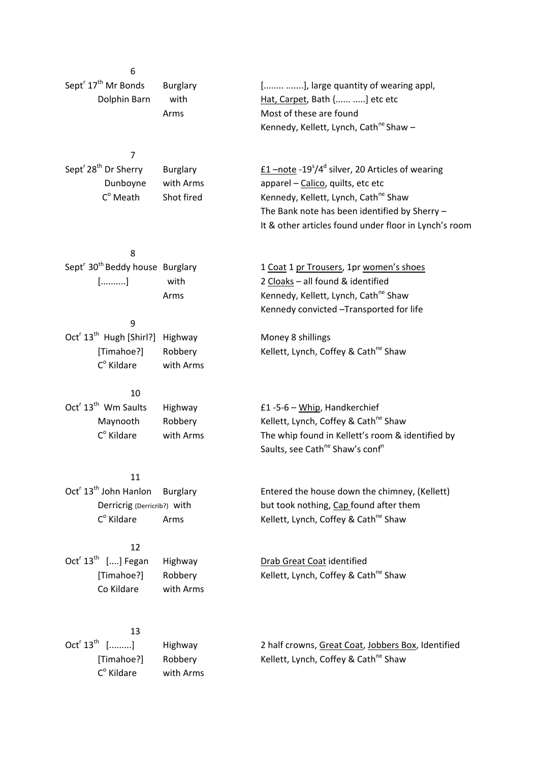| 6                                                       |                 |                                                                                                        |
|---------------------------------------------------------|-----------------|--------------------------------------------------------------------------------------------------------|
| Sept <sup>r</sup> 17 <sup>th</sup> Mr Bonds             | <b>Burglary</b> | [ ], large quantity of wearing appl,                                                                   |
| Dolphin Barn                                            | with            | Hat, Carpet, Bath { ] etc etc                                                                          |
|                                                         | Arms            | Most of these are found                                                                                |
|                                                         |                 | Kennedy, Kellett, Lynch, Cath <sup>ne</sup> Shaw -                                                     |
|                                                         |                 |                                                                                                        |
| 7                                                       |                 |                                                                                                        |
| Sept <sup>r</sup> 28 <sup>th</sup> Dr Sherry            | <b>Burglary</b> | $\underline{f1}$ -note -19 <sup>5</sup> /4 <sup>d</sup> silver, 20 Articles of wearing                 |
| Dunboyne                                                | with Arms       | apparel - Calico, quilts, etc etc                                                                      |
| $C^{\circ}$ Meath                                       | Shot fired      | Kennedy, Kellett, Lynch, Cath <sup>ne</sup> Shaw                                                       |
|                                                         |                 | The Bank note has been identified by Sherry -<br>It & other articles found under floor in Lynch's room |
|                                                         |                 |                                                                                                        |
| 8                                                       |                 |                                                                                                        |
| Sept <sup>r</sup> 30 <sup>th</sup> Beddy house Burglary |                 | 1 Coat 1 pr Trousers, 1pr women's shoes                                                                |
| []                                                      | with            | 2 Cloaks - all found & identified                                                                      |
|                                                         | Arms            | Kennedy, Kellett, Lynch, Cath <sup>ne</sup> Shaw                                                       |
|                                                         |                 | Kennedy convicted -Transported for life                                                                |
| 9                                                       |                 |                                                                                                        |
| Oct <sup>r</sup> 13 <sup>th</sup> Hugh [Shirl?]         | Highway         | Money 8 shillings                                                                                      |
| [Timahoe?]                                              | Robbery         | Kellett, Lynch, Coffey & Cath <sup>ne</sup> Shaw                                                       |
| $C^{\circ}$ Kildare                                     | with Arms       |                                                                                                        |
| 10                                                      |                 |                                                                                                        |
| Oct <sup>r</sup> 13 <sup>th</sup> Wm Saults             | Highway         | £1-5-6 - Whip, Handkerchief                                                                            |
| Maynooth                                                | Robbery         | Kellett, Lynch, Coffey & Cath <sup>ne</sup> Shaw                                                       |
| $C^{\circ}$ Kildare                                     | with Arms       | The whip found in Kellett's room & identified by                                                       |
|                                                         |                 | Saults, see Cath <sup>ne</sup> Shaw's conf <sup>n</sup>                                                |
|                                                         |                 |                                                                                                        |
| 11                                                      |                 |                                                                                                        |
| Oct <sup>r</sup> 13 <sup>th</sup> John Hanlon           | Burglary        | Entered the house down the chimney, (Kellett)                                                          |
| Derricrig (Derricrib?) with                             |                 | but took nothing, Cap found after them                                                                 |
| $Co$ Kildare                                            | Arms            | Kellett, Lynch, Coffey & Cath <sup>ne</sup> Shaw                                                       |
| 12                                                      |                 |                                                                                                        |
| Oct <sup>r</sup> $13th$ [] Fegan                        | Highway         | Drab Great Coat identified                                                                             |
| [Timahoe?]                                              | Robbery         | Kellett, Lynch, Coffey & Cath <sup>ne</sup> Shaw                                                       |
| Co Kildare                                              | with Arms       |                                                                                                        |
|                                                         |                 |                                                                                                        |
|                                                         |                 |                                                                                                        |
| 13<br>$Octr 13th$ []                                    | Highway         | 2 half crowns, Great Coat, Jobbers Box, Identified                                                     |
| [Timahoe?]                                              | Robbery         | Kellett, Lynch, Coffey & Cath <sup>ne</sup> Shaw                                                       |
| $C^{\circ}$ Kildare                                     | with Arms       |                                                                                                        |
|                                                         |                 |                                                                                                        |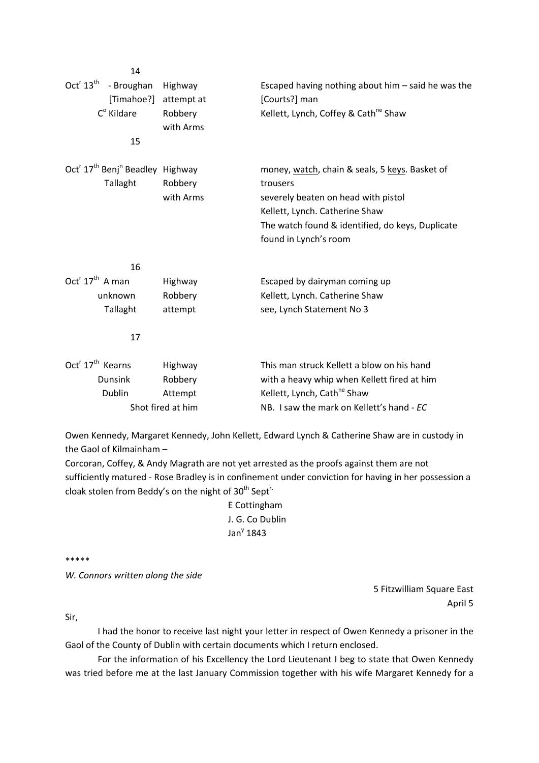| 14                                                                  |            |                                                      |
|---------------------------------------------------------------------|------------|------------------------------------------------------|
| Oct <sup>r</sup> 13 <sup>th</sup><br>- Broughan                     | Highway    | Escaped having nothing about him $-$ said he was the |
| [Timahoe?]                                                          | attempt at | [Courts?] man                                        |
| $C^{\circ}$ Kildare                                                 | Robbery    | Kellett, Lynch, Coffey & Cath <sup>ne</sup> Shaw     |
|                                                                     | with Arms  |                                                      |
| 15                                                                  |            |                                                      |
| Oct <sup>r</sup> 17 <sup>th</sup> Benj <sup>n</sup> Beadley Highway |            | money, watch, chain & seals, 5 keys. Basket of       |
| Tallaght                                                            | Robbery    | trousers                                             |
|                                                                     | with Arms  | severely beaten on head with pistol                  |
|                                                                     |            | Kellett, Lynch. Catherine Shaw                       |
|                                                                     |            | The watch found & identified, do keys, Duplicate     |
|                                                                     |            | found in Lynch's room                                |
| 16                                                                  |            |                                                      |
| $Octr 17th$ A man                                                   | Highway    | Escaped by dairyman coming up                        |
| unknown                                                             | Robbery    | Kellett, Lynch. Catherine Shaw                       |
| Tallaght                                                            | attempt    | see, Lynch Statement No 3                            |
| 17                                                                  |            |                                                      |
| Oct <sup>r</sup> 17 <sup>th</sup> Kearns                            | Highway    | This man struck Kellett a blow on his hand           |
| <b>Dunsink</b>                                                      | Robbery    | with a heavy whip when Kellett fired at him          |
| Dublin                                                              | Attempt    | Kellett, Lynch, Cath <sup>ne</sup> Shaw              |
| Shot fired at him                                                   |            | NB. I saw the mark on Kellett's hand - EC            |

Owen Kennedy, Margaret Kennedy, John Kellett, Edward Lynch & Catherine Shaw are in custody in the Gaol of Kilmainham –

Corcoran, Coffey, & Andy Magrath are not yet arrested as the proofs against them are not sufficiently matured ‐ Rose Bradley is in confinement under conviction for having in her possession a cloak stolen from Beddy's on the night of 30<sup>th</sup> Sept<sup>r.</sup>

> E Cottingham J. G. Co Dublin Jan $y$  1843

\*\*\*\*\*

*W. Connors written along the side*

5 Fitzwilliam Square East April 5

Sir,

I had the honor to receive last night your letter in respect of Owen Kennedy a prisoner in the Gaol of the County of Dublin with certain documents which I return enclosed.

For the information of his Excellency the Lord Lieutenant I beg to state that Owen Kennedy was tried before me at the last January Commission together with his wife Margaret Kennedy for a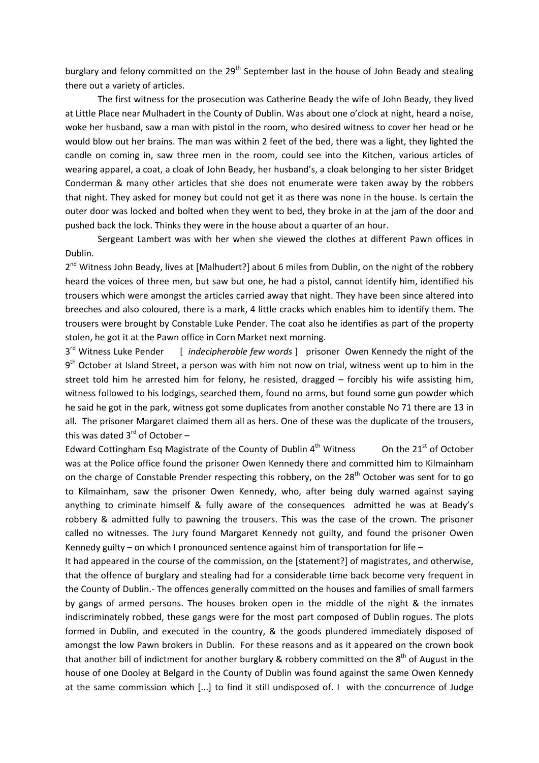burglary and felony committed on the 29<sup>th</sup> September last in the house of John Beady and stealing there out a variety of articles.

The first witness for the prosecution was Catherine Beady the wife of John Beady, they lived at Little Place near Mulhadert in the County of Dublin. Was about one o'clock at night, heard a noise, woke her husband, saw a man with pistol in the room, who desired witness to cover her head or he would blow out her brains. The man was within 2 feet of the bed, there was a light, they lighted the candle on coming in, saw three men in the room, could see into the Kitchen, various articles of wearing apparel, a coat, a cloak of John Beady, her husband's, a cloak belonging to her sister Bridget Conderman & many other articles that she does not enumerate were taken away by the robbers that night. They asked for money but could not get it as there was none in the house. Is certain the outer door was locked and bolted when they went to bed, they broke in at the jam of the door and pushed back the lock. Thinks they were in the house about a quarter of an hour.

Sergeant Lambert was with her when she viewed the clothes at different Pawn offices in Dublin.

2<sup>nd</sup> Witness John Beady, lives at [Malhudert?] about 6 miles from Dublin, on the night of the robbery heard the voices of three men, but saw but one, he had a pistol, cannot identify him, identified his trousers which were amongst the articles carried away that night. They have been since altered into breeches and also coloured, there is a mark, 4 little cracks which enables him to identify them. The trousers were brought by Constable Luke Pender. The coat also he identifies as part of the property stolen, he got it at the Pawn office in Corn Market next morning.

3rd Witness Luke Pender [ *indecipherable few words* ] prisoner Owen Kennedy the night of the 9<sup>th</sup> October at Island Street, a person was with him not now on trial, witness went up to him in the street told him he arrested him for felony, he resisted, dragged – forcibly his wife assisting him, witness followed to his lodgings, searched them, found no arms, but found some gun powder which he said he got in the park, witness got some duplicates from another constable No 71 there are 13 in all. The prisoner Margaret claimed them all as hers. One of these was the duplicate of the trousers, this was dated  $3^{rd}$  of October –

Edward Cottingham Esq Magistrate of the County of Dublin  $4^{th}$  Witness  $\qquad 0$ n the 21<sup>st</sup> of October was at the Police office found the prisoner Owen Kennedy there and committed him to Kilmainham on the charge of Constable Prender respecting this robbery, on the 28<sup>th</sup> October was sent for to go to Kilmainham, saw the prisoner Owen Kennedy, who, after being duly warned against saying anything to criminate himself & fully aware of the consequences admitted he was at Beady's robbery & admitted fully to pawning the trousers. This was the case of the crown. The prisoner called no witnesses. The Jury found Margaret Kennedy not guilty, and found the prisoner Owen Kennedy guilty – on which I pronounced sentence against him of transportation for life –

It had appeared in the course of the commission, on the [statement?] of magistrates, and otherwise, that the offence of burglary and stealing had for a considerable time back become very frequent in the County of Dublin.‐ The offences generally committed on the houses and families of small farmers by gangs of armed persons. The houses broken open in the middle of the night & the inmates indiscriminately robbed, these gangs were for the most part composed of Dublin rogues. The plots formed in Dublin, and executed in the country, & the goods plundered immediately disposed of amongst the low Pawn brokers in Dublin. For these reasons and as it appeared on the crown book that another bill of indictment for another burglary & robbery committed on the 8<sup>th</sup> of August in the house of one Dooley at Belgard in the County of Dublin was found against the same Owen Kennedy at the same commission which [...] to find it still undisposed of. I with the concurrence of Judge